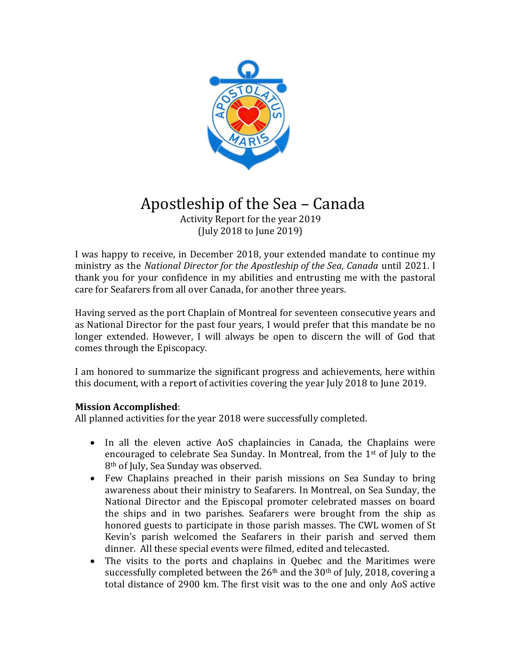

## Apostleship of the Sea – Canada

 Activity Report for the year 2019 (July 2018 to June 2019)

I was happy to receive, in December 2018, your extended mandate to continue my ministry as the *National Director for the Apostleship of the Sea, Canada* until 2021. I thank you for your confidence in my abilities and entrusting me with the pastoral care for Seafarers from all over Canada, for another three years.

Having served as the port Chaplain of Montreal for seventeen consecutive years and as National Director for the past four years, I would prefer that this mandate be no longer extended. However, I will always be open to discern the will of God that comes through the Episcopacy.

I am honored to summarize the significant progress and achievements, here within this document, with a report of activities covering the year July 2018 to June 2019.

### **Mission Accomplished**:

All planned activities for the year 2018 were successfully completed.

- In all the eleven active AoS chaplaincies in Canada, the Chaplains were encouraged to celebrate Sea Sunday. In Montreal, from the 1st of July to the 8th of July, Sea Sunday was observed.
- Few Chaplains preached in their parish missions on Sea Sunday to bring awareness about their ministry to Seafarers. In Montreal, on Sea Sunday, the National Director and the Episcopal promoter celebrated masses on board the ships and in two parishes. Seafarers were brought from the ship as honored guests to participate in those parish masses. The CWL women of St Kevin's parish welcomed the Seafarers in their parish and served them dinner. All these special events were filmed, edited and telecasted.
- The visits to the ports and chaplains in Quebec and the Maritimes were successfully completed between the  $26<sup>th</sup>$  and the  $30<sup>th</sup>$  of July, 2018, covering a total distance of 2900 km. The first visit was to the one and only AoS active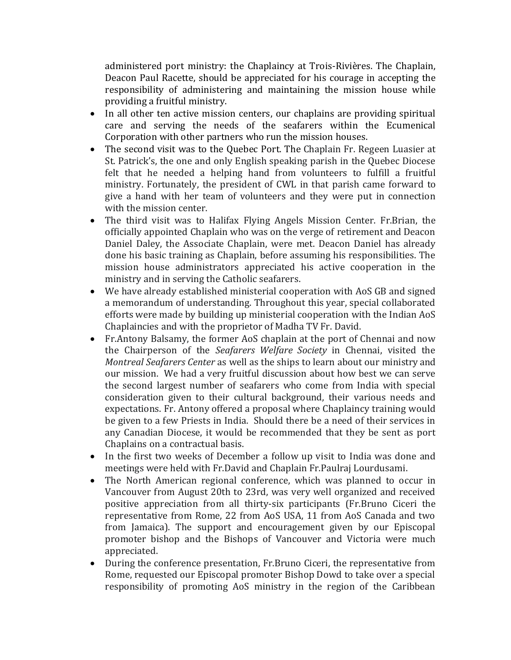administered port ministry: the Chaplaincy at Trois-Rivières. The Chaplain, Deacon Paul Racette, should be appreciated for his courage in accepting the responsibility of administering and maintaining the mission house while providing a fruitful ministry.

- In all other ten active mission centers, our chaplains are providing spiritual care and serving the needs of the seafarers within the Ecumenical Corporation with other partners who run the mission houses.
- The second visit was to the Quebec Port. The Chaplain Fr. Regeen Luasier at St. Patrick's, the one and only English speaking parish in the Quebec Diocese felt that he needed a helping hand from volunteers to fulfill a fruitful ministry. Fortunately, the president of CWL in that parish came forward to give a hand with her team of volunteers and they were put in connection with the mission center.
- The third visit was to Halifax Flying Angels Mission Center. Fr.Brian, the officially appointed Chaplain who was on the verge of retirement and Deacon Daniel Daley, the Associate Chaplain, were met. Deacon Daniel has already done his basic training as Chaplain, before assuming his responsibilities. The mission house administrators appreciated his active cooperation in the ministry and in serving the Catholic seafarers.
- We have already established ministerial cooperation with AoS GB and signed a memorandum of understanding. Throughout this year, special collaborated efforts were made by building up ministerial cooperation with the Indian AoS Chaplaincies and with the proprietor of Madha TV Fr. David.
- Fr.Antony Balsamy, the former AoS chaplain at the port of Chennai and now the Chairperson of the *Seafarers Welfare Society* in Chennai, visited the *Montreal Seafarers Center* as well as the ships to learn about our ministry and our mission. We had a very fruitful discussion about how best we can serve the second largest number of seafarers who come from India with special consideration given to their cultural background, their various needs and expectations. Fr. Antony offered a proposal where Chaplaincy training would be given to a few Priests in India. Should there be a need of their services in any Canadian Diocese, it would be recommended that they be sent as port Chaplains on a contractual basis.
- In the first two weeks of December a follow up visit to India was done and meetings were held with Fr.David and Chaplain Fr.Paulraj Lourdusami.
- The North American regional conference, which was planned to occur in Vancouver from August 20th to 23rd, was very well organized and received positive appreciation from all thirty-six participants (Fr.Bruno Ciceri the representative from Rome, 22 from AoS USA, 11 from AoS Canada and two from Jamaica). The support and encouragement given by our Episcopal promoter bishop and the Bishops of Vancouver and Victoria were much appreciated.
- During the conference presentation, Fr.Bruno Ciceri, the representative from Rome, requested our Episcopal promoter Bishop Dowd to take over a special responsibility of promoting AoS ministry in the region of the Caribbean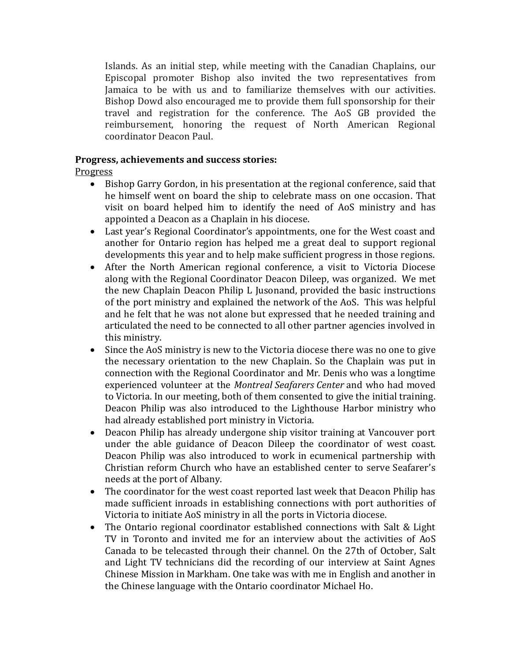Islands. As an initial step, while meeting with the Canadian Chaplains, our Episcopal promoter Bishop also invited the two representatives from Jamaica to be with us and to familiarize themselves with our activities. Bishop Dowd also encouraged me to provide them full sponsorship for their travel and registration for the conference. The AoS GB provided the reimbursement, honoring the request of North American Regional coordinator Deacon Paul.

### **Progress, achievements and success stories:**

### Progress

- Bishop Garry Gordon, in his presentation at the regional conference, said that he himself went on board the ship to celebrate mass on one occasion. That visit on board helped him to identify the need of AoS ministry and has appointed a Deacon as a Chaplain in his diocese.
- Last year's Regional Coordinator's appointments, one for the West coast and another for Ontario region has helped me a great deal to support regional developments this year and to help make sufficient progress in those regions.
- After the North American regional conference, a visit to Victoria Diocese along with the Regional Coordinator Deacon Dileep, was organized. We met the new Chaplain Deacon Philip L Jusonand, provided the basic instructions of the port ministry and explained the network of the AoS. This was helpful and he felt that he was not alone but expressed that he needed training and articulated the need to be connected to all other partner agencies involved in this ministry.
- Since the AoS ministry is new to the Victoria diocese there was no one to give the necessary orientation to the new Chaplain. So the Chaplain was put in connection with the Regional Coordinator and Mr. Denis who was a longtime experienced volunteer at the *Montreal Seafarers Center* and who had moved to Victoria. In our meeting, both of them consented to give the initial training. Deacon Philip was also introduced to the Lighthouse Harbor ministry who had already established port ministry in Victoria.
- Deacon Philip has already undergone ship visitor training at Vancouver port under the able guidance of Deacon Dileep the coordinator of west coast. Deacon Philip was also introduced to work in ecumenical partnership with Christian reform Church who have an established center to serve Seafarer's needs at the port of Albany.
- The coordinator for the west coast reported last week that Deacon Philip has made sufficient inroads in establishing connections with port authorities of Victoria to initiate AoS ministry in all the ports in Victoria diocese.
- The Ontario regional coordinator established connections with Salt & Light TV in Toronto and invited me for an interview about the activities of AoS Canada to be telecasted through their channel. On the 27th of October, Salt and Light TV technicians did the recording of our interview at Saint Agnes Chinese Mission in Markham. One take was with me in English and another in the Chinese language with the Ontario coordinator Michael Ho.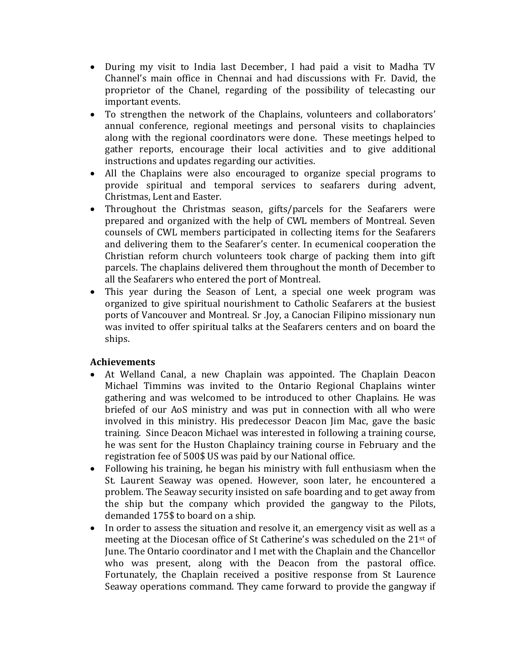- During my visit to India last December, I had paid a visit to Madha TV Channel's main office in Chennai and had discussions with Fr. David, the proprietor of the Chanel, regarding of the possibility of telecasting our important events.
- To strengthen the network of the Chaplains, volunteers and collaborators' annual conference, regional meetings and personal visits to chaplaincies along with the regional coordinators were done. These meetings helped to gather reports, encourage their local activities and to give additional instructions and updates regarding our activities.
- All the Chaplains were also encouraged to organize special programs to provide spiritual and temporal services to seafarers during advent, Christmas, Lent and Easter.
- Throughout the Christmas season, gifts/parcels for the Seafarers were prepared and organized with the help of CWL members of Montreal. Seven counsels of CWL members participated in collecting items for the Seafarers and delivering them to the Seafarer's center. In ecumenical cooperation the Christian reform church volunteers took charge of packing them into gift parcels. The chaplains delivered them throughout the month of December to all the Seafarers who entered the port of Montreal.
- This year during the Season of Lent, a special one week program was organized to give spiritual nourishment to Catholic Seafarers at the busiest ports of Vancouver and Montreal. Sr .Joy, a Canocian Filipino missionary nun was invited to offer spiritual talks at the Seafarers centers and on board the ships.

## **Achievements**

- At Welland Canal, a new Chaplain was appointed. The Chaplain Deacon Michael Timmins was invited to the Ontario Regional Chaplains winter gathering and was welcomed to be introduced to other Chaplains. He was briefed of our AoS ministry and was put in connection with all who were involved in this ministry. His predecessor Deacon Jim Mac, gave the basic training. Since Deacon Michael was interested in following a training course, he was sent for the Huston Chaplaincy training course in February and the registration fee of 500\$ US was paid by our National office.
- Following his training, he began his ministry with full enthusiasm when the St. Laurent Seaway was opened. However, soon later, he encountered a problem. The Seaway security insisted on safe boarding and to get away from the ship but the company which provided the gangway to the Pilots, demanded 175\$ to board on a ship.
- In order to assess the situation and resolve it, an emergency visit as well as a meeting at the Diocesan office of St Catherine's was scheduled on the  $21^{st}$  of June. The Ontario coordinator and I met with the Chaplain and the Chancellor who was present, along with the Deacon from the pastoral office. Fortunately, the Chaplain received a positive response from St Laurence Seaway operations command. They came forward to provide the gangway if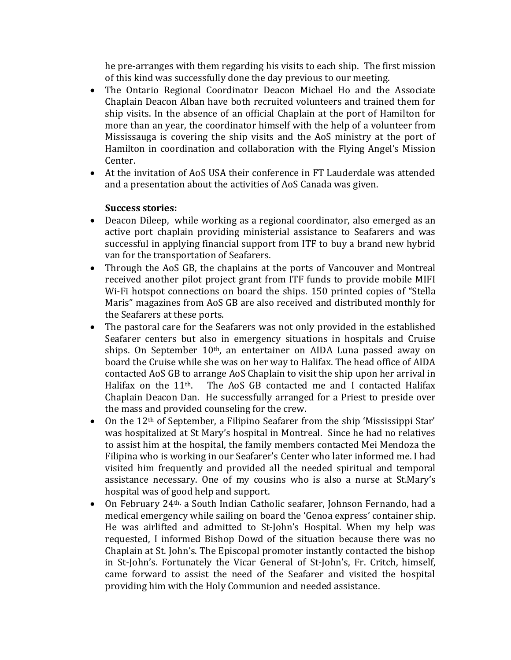he pre-arranges with them regarding his visits to each ship. The first mission of this kind was successfully done the day previous to our meeting.

- The Ontario Regional Coordinator Deacon Michael Ho and the Associate Chaplain Deacon Alban have both recruited volunteers and trained them for ship visits. In the absence of an official Chaplain at the port of Hamilton for more than an year, the coordinator himself with the help of a volunteer from Mississauga is covering the ship visits and the AoS ministry at the port of Hamilton in coordination and collaboration with the Flying Angel's Mission Center.
- At the invitation of AoS USA their conference in FT Lauderdale was attended and a presentation about the activities of AoS Canada was given.

### **Success stories:**

- Deacon Dileep, while working as a regional coordinator, also emerged as an active port chaplain providing ministerial assistance to Seafarers and was successful in applying financial support from ITF to buy a brand new hybrid van for the transportation of Seafarers.
- Through the AoS GB, the chaplains at the ports of Vancouver and Montreal received another pilot project grant from ITF funds to provide mobile MIFI Wi-Fi hotspot connections on board the ships. 150 printed copies of "Stella Maris" magazines from AoS GB are also received and distributed monthly for the Seafarers at these ports.
- The pastoral care for the Seafarers was not only provided in the established Seafarer centers but also in emergency situations in hospitals and Cruise ships. On September 10<sup>th</sup>, an entertainer on AIDA Luna passed away on board the Cruise while she was on her way to Halifax. The head office of AIDA contacted AoS GB to arrange AoS Chaplain to visit the ship upon her arrival in Halifax on the 11<sup>th</sup>. The AoS GB contacted me and I contacted Halifax Chaplain Deacon Dan. He successfully arranged for a Priest to preside over the mass and provided counseling for the crew.
- On the 12<sup>th</sup> of September, a Filipino Seafarer from the ship 'Mississippi Star' was hospitalized at St Mary's hospital in Montreal. Since he had no relatives to assist him at the hospital, the family members contacted Mei Mendoza the Filipina who is working in our Seafarer's Center who later informed me. I had visited him frequently and provided all the needed spiritual and temporal assistance necessary. One of my cousins who is also a nurse at St.Mary's hospital was of good help and support.
- On February 24<sup>th,</sup> a South Indian Catholic seafarer, Johnson Fernando, had a medical emergency while sailing on board the 'Genoa express' container ship. He was airlifted and admitted to St-John's Hospital. When my help was requested, I informed Bishop Dowd of the situation because there was no Chaplain at St. John's. The Episcopal promoter instantly contacted the bishop in St-John's. Fortunately the Vicar General of St-John's, Fr. Critch, himself, came forward to assist the need of the Seafarer and visited the hospital providing him with the Holy Communion and needed assistance.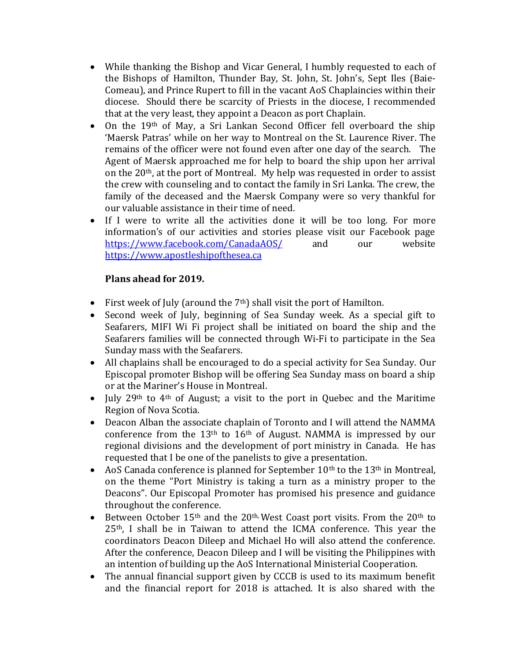- While thanking the Bishop and Vicar General, I humbly requested to each of the Bishops of Hamilton, Thunder Bay, St. John, St. John's, Sept Iles (Baie-Comeau), and Prince Rupert to fill in the vacant AoS Chaplaincies within their diocese. Should there be scarcity of Priests in the diocese, I recommended that at the very least, they appoint a Deacon as port Chaplain.
- On the 19<sup>th</sup> of May, a Sri Lankan Second Officer fell overboard the ship 'Maersk Patras' while on her way to Montreal on the St. Laurence River. The remains of the officer were not found even after one day of the search. The Agent of Maersk approached me for help to board the ship upon her arrival on the 20th, at the port of Montreal. My help was requested in order to assist the crew with counseling and to contact the family in Sri Lanka. The crew, the family of the deceased and the Maersk Company were so very thankful for our valuable assistance in their time of need.
- If I were to write all the activities done it will be too long. For more information's of our activities and stories please visit our Facebook page <https://www.facebook.com/CanadaAOS/> and our website [https://www.apostleshipofthesea.ca](https://www.apostleshipofthesea.ca/)

### **Plans ahead for 2019.**

- First week of July (around the  $7<sup>th</sup>$ ) shall visit the port of Hamilton.
- Second week of July, beginning of Sea Sunday week. As a special gift to Seafarers, MIFI Wi Fi project shall be initiated on board the ship and the Seafarers families will be connected through Wi-Fi to participate in the Sea Sunday mass with the Seafarers.
- All chaplains shall be encouraged to do a special activity for Sea Sunday. Our Episcopal promoter Bishop will be offering Sea Sunday mass on board a ship or at the Mariner's House in Montreal.
- July 29<sup>th</sup> to 4<sup>th</sup> of August; a visit to the port in Quebec and the Maritime Region of Nova Scotia.
- Deacon Alban the associate chaplain of Toronto and I will attend the NAMMA conference from the  $13<sup>th</sup>$  to  $16<sup>th</sup>$  of August. NAMMA is impressed by our regional divisions and the development of port ministry in Canada. He has requested that I be one of the panelists to give a presentation.
- AoS Canada conference is planned for September  $10<sup>th</sup>$  to the  $13<sup>th</sup>$  in Montreal, on the theme "Port Ministry is taking a turn as a ministry proper to the Deacons". Our Episcopal Promoter has promised his presence and guidance throughout the conference.
- Between October 15<sup>th</sup> and the 20<sup>th,</sup> West Coast port visits. From the 20<sup>th</sup> to 25<sup>th</sup>, I shall be in Taiwan to attend the ICMA conference. This year the coordinators Deacon Dileep and Michael Ho will also attend the conference. After the conference, Deacon Dileep and I will be visiting the Philippines with an intention of building up the AoS International Ministerial Cooperation.
- The annual financial support given by CCCB is used to its maximum benefit and the financial report for 2018 is attached. It is also shared with the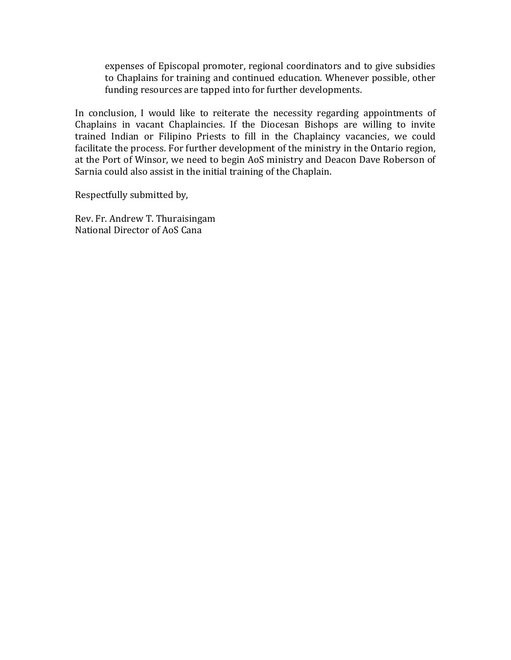expenses of Episcopal promoter, regional coordinators and to give subsidies to Chaplains for training and continued education. Whenever possible, other funding resources are tapped into for further developments.

In conclusion, I would like to reiterate the necessity regarding appointments of Chaplains in vacant Chaplaincies. If the Diocesan Bishops are willing to invite trained Indian or Filipino Priests to fill in the Chaplaincy vacancies, we could facilitate the process. For further development of the ministry in the Ontario region, at the Port of Winsor, we need to begin AoS ministry and Deacon Dave Roberson of Sarnia could also assist in the initial training of the Chaplain.

Respectfully submitted by,

Rev. Fr. Andrew T. Thuraisingam National Director of AoS Cana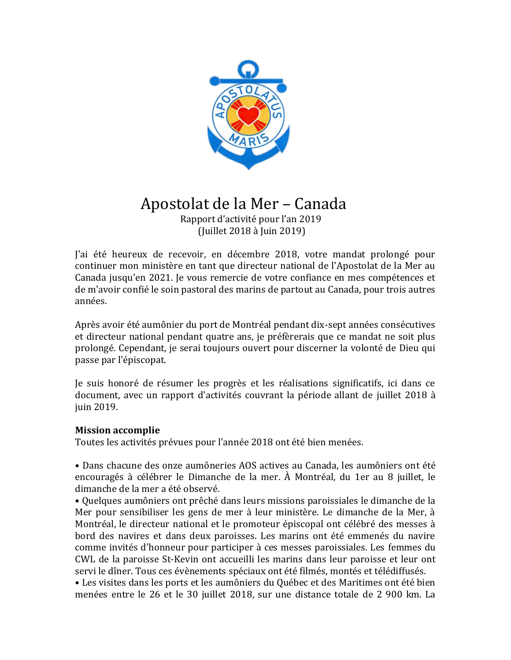

# Apostolat de la Mer – Canada

 Rapport d'activité pour l'an 2019 (Juillet 2018 à Juin 2019)

J'ai été heureux de recevoir, en décembre 2018, votre mandat prolongé pour continuer mon ministère en tant que directeur national de l'Apostolat de la Mer au Canada jusqu'en 2021. Je vous remercie de votre confiance en mes compétences et de m'avoir confié le soin pastoral des marins de partout au Canada, pour trois autres années.

Après avoir été aumônier du port de Montréal pendant dix-sept années consécutives et directeur national pendant quatre ans, je préfèrerais que ce mandat ne soit plus prolongé. Cependant, je serai toujours ouvert pour discerner la volonté de Dieu qui passe par l'épiscopat.

Je suis honoré de résumer les progrès et les réalisations significatifs, ici dans ce document, avec un rapport d'activités couvrant la période allant de juillet 2018 à juin 2019.

### **Mission accomplie**

Toutes les activités prévues pour l'année 2018 ont été bien menées.

• Dans chacune des onze aumôneries AOS actives au Canada, les aumôniers ont été encouragés à célébrer le Dimanche de la mer. À Montréal, du 1er au 8 juillet, le dimanche de la mer a été observé.

• Quelques aumôniers ont prêché dans leurs missions paroissiales le dimanche de la Mer pour sensibiliser les gens de mer à leur ministère. Le dimanche de la Mer, à Montréal, le directeur national et le promoteur épiscopal ont célébré des messes à bord des navires et dans deux paroisses. Les marins ont été emmenés du navire comme invités d'honneur pour participer à ces messes paroissiales. Les femmes du CWL de la paroisse St-Kevin ont accueilli les marins dans leur paroisse et leur ont servi le dîner. Tous ces évènements spéciaux ont été filmés, montés et télédiffusés.

• Les visites dans les ports et les aumôniers du Québec et des Maritimes ont été bien menées entre le 26 et le 30 juillet 2018, sur une distance totale de 2 900 km. La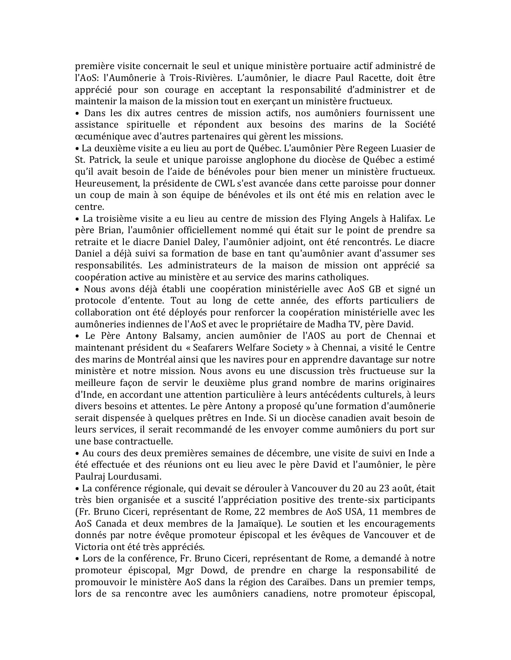première visite concernait le seul et unique ministère portuaire actif administré de l'AoS: l'Aumônerie à Trois-Rivières. L'aumônier, le diacre Paul Racette, doit être apprécié pour son courage en acceptant la responsabilité d'administrer et de maintenir la maison de la mission tout en exerçant un ministère fructueux.

• Dans les dix autres centres de mission actifs, nos aumôniers fournissent une assistance spirituelle et répondent aux besoins des marins de la Société œcuménique avec d'autres partenaires qui gèrent les missions.

• La deuxième visite a eu lieu au port de Québec. L'aumônier Père Regeen Luasier de St. Patrick, la seule et unique paroisse anglophone du diocèse de Québec a estimé qu'il avait besoin de l'aide de bénévoles pour bien mener un ministère fructueux. Heureusement, la présidente de CWL s'est avancée dans cette paroisse pour donner un coup de main à son équipe de bénévoles et ils ont été mis en relation avec le centre.

• La troisième visite a eu lieu au centre de mission des Flying Angels à Halifax. Le père Brian, l'aumônier officiellement nommé qui était sur le point de prendre sa retraite et le diacre Daniel Daley, l'aumônier adjoint, ont été rencontrés. Le diacre Daniel a déjà suivi sa formation de base en tant qu'aumônier avant d'assumer ses responsabilités. Les administrateurs de la maison de mission ont apprécié sa coopération active au ministère et au service des marins catholiques.

• Nous avons déjà établi une coopération ministérielle avec AoS GB et signé un protocole d'entente. Tout au long de cette année, des efforts particuliers de collaboration ont été déployés pour renforcer la coopération ministérielle avec les aumôneries indiennes de l'AoS et avec le propriétaire de Madha TV, père David.

• Le Père Antony Balsamy, ancien aumônier de l'AOS au port de Chennai et maintenant président du « Seafarers Welfare Society » à Chennai, a visité le Centre des marins de Montréal ainsi que les navires pour en apprendre davantage sur notre ministère et notre mission. Nous avons eu une discussion très fructueuse sur la meilleure façon de servir le deuxième plus grand nombre de marins originaires d'Inde, en accordant une attention particulière à leurs antécédents culturels, à leurs divers besoins et attentes. Le père Antony a proposé qu'une formation d'aumônerie serait dispensée à quelques prêtres en Inde. Si un diocèse canadien avait besoin de leurs services, il serait recommandé de les envoyer comme aumôniers du port sur une base contractuelle.

• Au cours des deux premières semaines de décembre, une visite de suivi en Inde a été effectuée et des réunions ont eu lieu avec le père David et l'aumônier, le père Paulraj Lourdusami.

• La conférence régionale, qui devait se dérouler à Vancouver du 20 au 23 août, était très bien organisée et a suscité l'appréciation positive des trente-six participants (Fr. Bruno Ciceri, représentant de Rome, 22 membres de AoS USA, 11 membres de AoS Canada et deux membres de la Jamaïque). Le soutien et les encouragements donnés par notre évêque promoteur épiscopal et les évêques de Vancouver et de Victoria ont été très appréciés.

• Lors de la conférence, Fr. Bruno Ciceri, représentant de Rome, a demandé à notre promoteur épiscopal, Mgr Dowd, de prendre en charge la responsabilité de promouvoir le ministère AoS dans la région des Caraïbes. Dans un premier temps, lors de sa rencontre avec les aumôniers canadiens, notre promoteur épiscopal,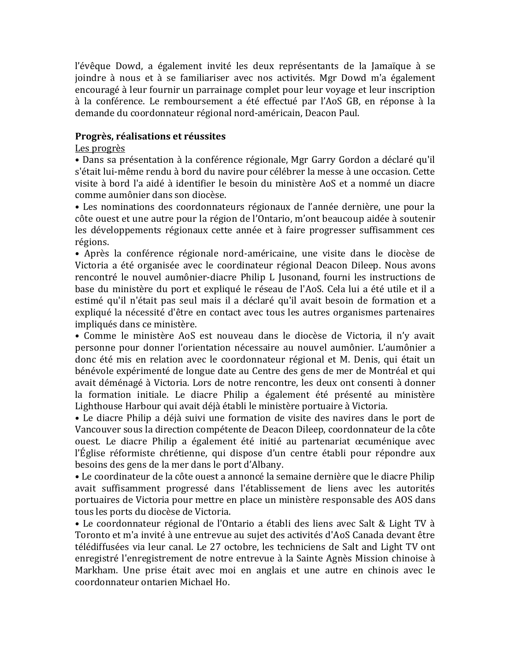l'évêque Dowd, a également invité les deux représentants de la Jamaïque à se joindre à nous et à se familiariser avec nos activités. Mgr Dowd m'a également encouragé à leur fournir un parrainage complet pour leur voyage et leur inscription à la conférence. Le remboursement a été effectué par l'AoS GB, en réponse à la demande du coordonnateur régional nord-américain, Deacon Paul.

### **Progrès, réalisations et réussites**

### Les progrès

• Dans sa présentation à la conférence régionale, Mgr Garry Gordon a déclaré qu'il s'était lui-même rendu à bord du navire pour célébrer la messe à une occasion. Cette visite à bord l'a aidé à identifier le besoin du ministère AoS et a nommé un diacre comme aumônier dans son diocèse.

• Les nominations des coordonnateurs régionaux de l'année dernière, une pour la côte ouest et une autre pour la région de l'Ontario, m'ont beaucoup aidée à soutenir les développements régionaux cette année et à faire progresser suffisamment ces régions.

• Après la conférence régionale nord-américaine, une visite dans le diocèse de Victoria a été organisée avec le coordinateur régional Deacon Dileep. Nous avons rencontré le nouvel aumônier-diacre Philip L Jusonand, fourni les instructions de base du ministère du port et expliqué le réseau de l'AoS. Cela lui a été utile et il a estimé qu'il n'était pas seul mais il a déclaré qu'il avait besoin de formation et a expliqué la nécessité d'être en contact avec tous les autres organismes partenaires impliqués dans ce ministère.

• Comme le ministère AoS est nouveau dans le diocèse de Victoria, il n'y avait personne pour donner l'orientation nécessaire au nouvel aumônier. L'aumônier a donc été mis en relation avec le coordonnateur régional et M. Denis, qui était un bénévole expérimenté de longue date au Centre des gens de mer de Montréal et qui avait déménagé à Victoria. Lors de notre rencontre, les deux ont consenti à donner la formation initiale. Le diacre Philip a également été présenté au ministère Lighthouse Harbour qui avait déjà établi le ministère portuaire à Victoria.

• Le diacre Philip a déjà suivi une formation de visite des navires dans le port de Vancouver sous la direction compétente de Deacon Dileep, coordonnateur de la côte ouest. Le diacre Philip a également été initié au partenariat œcuménique avec l'Église réformiste chrétienne, qui dispose d'un centre établi pour répondre aux besoins des gens de la mer dans le port d'Albany.

• Le coordinateur de la côte ouest a annoncé la semaine dernière que le diacre Philip avait suffisamment progressé dans l'établissement de liens avec les autorités portuaires de Victoria pour mettre en place un ministère responsable des AOS dans tous les ports du diocèse de Victoria.

• Le coordonnateur régional de l'Ontario a établi des liens avec Salt & Light TV à Toronto et m'a invité à une entrevue au sujet des activités d'AoS Canada devant être télédiffusées via leur canal. Le 27 octobre, les techniciens de Salt and Light TV ont enregistré l'enregistrement de notre entrevue à la Sainte Agnès Mission chinoise à Markham. Une prise était avec moi en anglais et une autre en chinois avec le coordonnateur ontarien Michael Ho.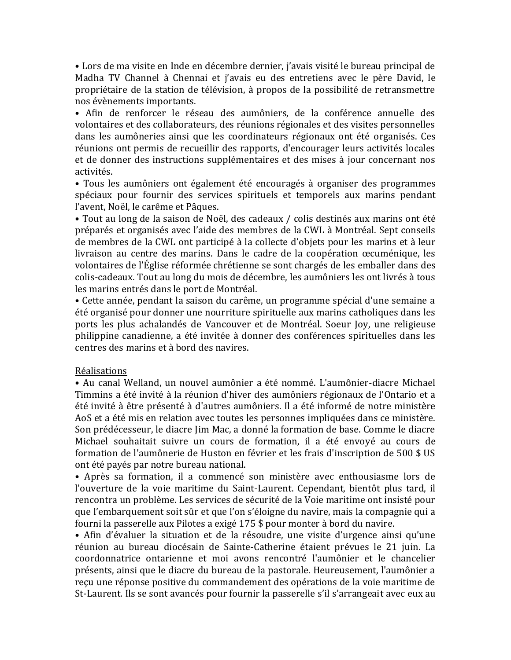• Lors de ma visite en Inde en décembre dernier, j'avais visité le bureau principal de Madha TV Channel à Chennai et j'avais eu des entretiens avec le père David, le propriétaire de la station de télévision, à propos de la possibilité de retransmettre nos évènements importants.

• Afin de renforcer le réseau des aumôniers, de la conférence annuelle des volontaires et des collaborateurs, des réunions régionales et des visites personnelles dans les aumôneries ainsi que les coordinateurs régionaux ont été organisés. Ces réunions ont permis de recueillir des rapports, d'encourager leurs activités locales et de donner des instructions supplémentaires et des mises à jour concernant nos activités.

• Tous les aumôniers ont également été encouragés à organiser des programmes spéciaux pour fournir des services spirituels et temporels aux marins pendant l'avent, Noël, le carême et Pâques.

• Tout au long de la saison de Noël, des cadeaux / colis destinés aux marins ont été préparés et organisés avec l'aide des membres de la CWL à Montréal. Sept conseils de membres de la CWL ont participé à la collecte d'objets pour les marins et à leur livraison au centre des marins. Dans le cadre de la coopération œcuménique, les volontaires de l'Église réformée chrétienne se sont chargés de les emballer dans des colis-cadeaux. Tout au long du mois de décembre, les aumôniers les ont livrés à tous les marins entrés dans le port de Montréal.

• Cette année, pendant la saison du carême, un programme spécial d'une semaine a été organisé pour donner une nourriture spirituelle aux marins catholiques dans les ports les plus achalandés de Vancouver et de Montréal. Soeur Joy, une religieuse philippine canadienne, a été invitée à donner des conférences spirituelles dans les centres des marins et à bord des navires.

#### Réalisations

• Au canal Welland, un nouvel aumônier a été nommé. L'aumônier-diacre Michael Timmins a été invité à la réunion d'hiver des aumôniers régionaux de l'Ontario et a été invité à être présenté à d'autres aumôniers. Il a été informé de notre ministère AoS et a été mis en relation avec toutes les personnes impliquées dans ce ministère. Son prédécesseur, le diacre Jim Mac, a donné la formation de base. Comme le diacre Michael souhaitait suivre un cours de formation, il a été envoyé au cours de formation de l'aumônerie de Huston en février et les frais d'inscription de 500 \$ US ont été payés par notre bureau national.

• Après sa formation, il a commencé son ministère avec enthousiasme lors de l'ouverture de la voie maritime du Saint-Laurent. Cependant, bientôt plus tard, il rencontra un problème. Les services de sécurité de la Voie maritime ont insisté pour que l'embarquement soit sûr et que l'on s'éloigne du navire, mais la compagnie qui a fourni la passerelle aux Pilotes a exigé 175 \$ pour monter à bord du navire.

• Afin d'évaluer la situation et de la résoudre, une visite d'urgence ainsi qu'une réunion au bureau diocésain de Sainte-Catherine étaient prévues le 21 juin. La coordonnatrice ontarienne et moi avons rencontré l'aumônier et le chancelier présents, ainsi que le diacre du bureau de la pastorale. Heureusement, l'aumônier a reçu une réponse positive du commandement des opérations de la voie maritime de St-Laurent. Ils se sont avancés pour fournir la passerelle s'il s'arrangeait avec eux au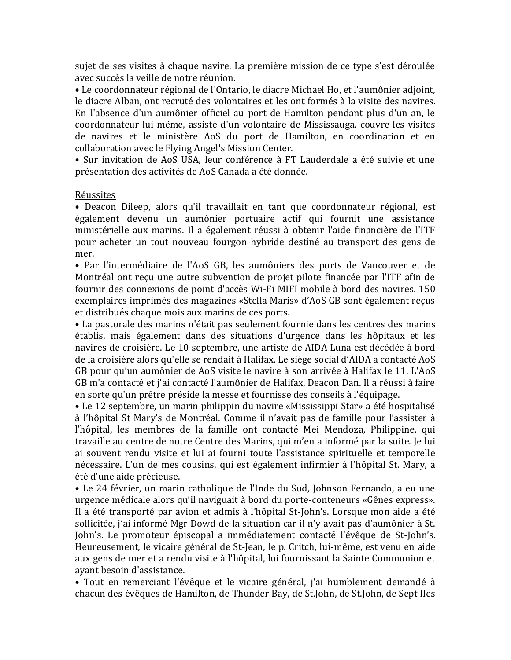sujet de ses visites à chaque navire. La première mission de ce type s'est déroulée avec succès la veille de notre réunion.

• Le coordonnateur régional de l'Ontario, le diacre Michael Ho, et l'aumônier adjoint, le diacre Alban, ont recruté des volontaires et les ont formés à la visite des navires. En l'absence d'un aumônier officiel au port de Hamilton pendant plus d'un an, le coordonnateur lui-même, assisté d'un volontaire de Mississauga, couvre les visites de navires et le ministère AoS du port de Hamilton, en coordination et en collaboration avec le Flying Angel's Mission Center.

• Sur invitation de AoS USA, leur conférence à FT Lauderdale a été suivie et une présentation des activités de AoS Canada a été donnée.

#### Réussites

• Deacon Dileep, alors qu'il travaillait en tant que coordonnateur régional, est également devenu un aumônier portuaire actif qui fournit une assistance ministérielle aux marins. Il a également réussi à obtenir l'aide financière de l'ITF pour acheter un tout nouveau fourgon hybride destiné au transport des gens de mer.

• Par l'intermédiaire de l'AoS GB, les aumôniers des ports de Vancouver et de Montréal ont reçu une autre subvention de projet pilote financée par l'ITF afin de fournir des connexions de point d'accès Wi-Fi MIFI mobile à bord des navires. 150 exemplaires imprimés des magazines «Stella Maris» d'AoS GB sont également reçus et distribués chaque mois aux marins de ces ports.

• La pastorale des marins n'était pas seulement fournie dans les centres des marins établis, mais également dans des situations d'urgence dans les hôpitaux et les navires de croisière. Le 10 septembre, une artiste de AIDA Luna est décédée à bord de la croisière alors qu'elle se rendait à Halifax. Le siège social d'AIDA a contacté AoS GB pour qu'un aumônier de AoS visite le navire à son arrivée à Halifax le 11. L'AoS GB m'a contacté et j'ai contacté l'aumônier de Halifax, Deacon Dan. Il a réussi à faire en sorte qu'un prêtre préside la messe et fournisse des conseils à l'équipage.

• Le 12 septembre, un marin philippin du navire «Mississippi Star» a été hospitalisé à l'hôpital St Mary's de Montréal. Comme il n'avait pas de famille pour l'assister à l'hôpital, les membres de la famille ont contacté Mei Mendoza, Philippine, qui travaille au centre de notre Centre des Marins, qui m'en a informé par la suite. Je lui ai souvent rendu visite et lui ai fourni toute l'assistance spirituelle et temporelle nécessaire. L'un de mes cousins, qui est également infirmier à l'hôpital St. Mary, a été d'une aide précieuse.

• Le 24 février, un marin catholique de l'Inde du Sud, Johnson Fernando, a eu une urgence médicale alors qu'il naviguait à bord du porte-conteneurs «Gênes express». Il a été transporté par avion et admis à l'hôpital St-John's. Lorsque mon aide a été sollicitée, j'ai informé Mgr Dowd de la situation car il n'y avait pas d'aumônier à St. John's. Le promoteur épiscopal a immédiatement contacté l'évêque de St-John's. Heureusement, le vicaire général de St-Jean, le p. Critch, lui-même, est venu en aide aux gens de mer et a rendu visite à l'hôpital, lui fournissant la Sainte Communion et ayant besoin d'assistance.

• Tout en remerciant l'évêque et le vicaire général, j'ai humblement demandé à chacun des évêques de Hamilton, de Thunder Bay, de St.John, de St.John, de Sept Iles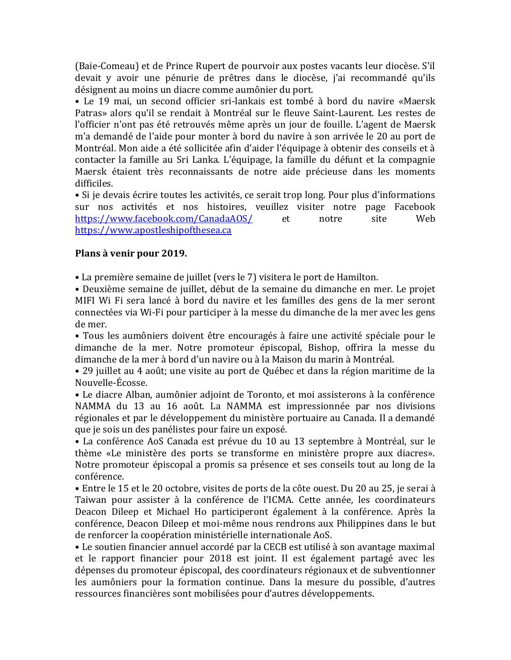(Baie-Comeau) et de Prince Rupert de pourvoir aux postes vacants leur diocèse. S'il devait y avoir une pénurie de prêtres dans le diocèse, j'ai recommandé qu'ils désignent au moins un diacre comme aumônier du port.

• Le 19 mai, un second officier sri-lankais est tombé à bord du navire «Maersk Patras» alors qu'il se rendait à Montréal sur le fleuve Saint-Laurent. Les restes de l'officier n'ont pas été retrouvés même après un jour de fouille. L'agent de Maersk m'a demandé de l'aide pour monter à bord du navire à son arrivée le 20 au port de Montréal. Mon aide a été sollicitée afin d'aider l'équipage à obtenir des conseils et à contacter la famille au Sri Lanka. L'équipage, la famille du défunt et la compagnie Maersk étaient très reconnaissants de notre aide précieuse dans les moments difficiles.

• Si je devais écrire toutes les activités, ce serait trop long. Pour plus d'informations sur nos activités et nos histoires, veuillez visiter notre page Facebook <https://www.facebook.com/CanadaAOS/> et notre site Web [https://www.apostleshipofthesea.ca](https://www.apostleshipofthesea.ca/)

### **Plans à venir pour 2019.**

• La première semaine de juillet (vers le 7) visitera le port de Hamilton.

• Deuxième semaine de juillet, début de la semaine du dimanche en mer. Le projet MIFI Wi Fi sera lancé à bord du navire et les familles des gens de la mer seront connectées via Wi-Fi pour participer à la messe du dimanche de la mer avec les gens de mer.

• Tous les aumôniers doivent être encouragés à faire une activité spéciale pour le dimanche de la mer. Notre promoteur épiscopal, Bishop, offrira la messe du dimanche de la mer à bord d'un navire ou à la Maison du marin à Montréal.

• 29 juillet au 4 août; une visite au port de Québec et dans la région maritime de la Nouvelle-Écosse.

• Le diacre Alban, aumônier adjoint de Toronto, et moi assisterons à la conférence NAMMA du 13 au 16 août. La NAMMA est impressionnée par nos divisions régionales et par le développement du ministère portuaire au Canada. Il a demandé que je sois un des panélistes pour faire un exposé.

• La conférence AoS Canada est prévue du 10 au 13 septembre à Montréal, sur le thème «Le ministère des ports se transforme en ministère propre aux diacres». Notre promoteur épiscopal a promis sa présence et ses conseils tout au long de la conférence.

• Entre le 15 et le 20 octobre, visites de ports de la côte ouest. Du 20 au 25, je serai à Taiwan pour assister à la conférence de l'ICMA. Cette année, les coordinateurs Deacon Dileep et Michael Ho participeront également à la conférence. Après la conférence, Deacon Dileep et moi-même nous rendrons aux Philippines dans le but de renforcer la coopération ministérielle internationale AoS.

• Le soutien financier annuel accordé par la CECB est utilisé à son avantage maximal et le rapport financier pour 2018 est joint. Il est également partagé avec les dépenses du promoteur épiscopal, des coordinateurs régionaux et de subventionner les aumôniers pour la formation continue. Dans la mesure du possible, d'autres ressources financières sont mobilisées pour d'autres développements.